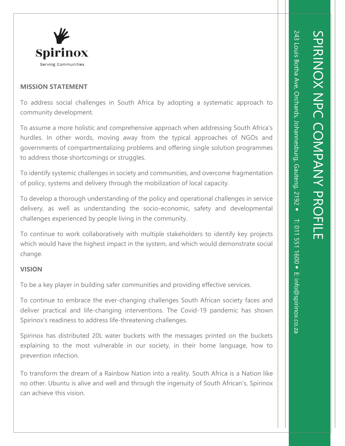

### **MISSION STATEMENT**

To address social challenges in South Africa by adopting a systematic approach to community development.

To assume a more holistic and comprehensive approach when addressing South Africa's hurdles. In other words, moving away from the typical approaches of NGOs and governments of compartmentalizing problems and offering single solution programmes to address those shortcomings or struggles.

To identify systemic challenges in society and communities, and overcome fragmentation of policy, systems and delivery through the mobilization of local capacity.

To develop a thorough understanding of the policy and operational challenges in service delivery, as well as understanding the socio-economic, safety and developmental challenges experienced by people living in the community.

To continue to work collaboratively with multiple stakeholders to identify key projects which would have the highest impact in the system, and which would demonstrate social change.

# **VISION**

To be a key player in building safer communities and providing effective services.

To continue to embrace the ever-changing challenges South African society faces and deliver practical and life-changing interventions. The Covid-19 pandemic has shown Spirinox's readiness to address life-threatening challenges.

Spirinox has distributed 20L water buckets with the messages printed on the buckets explaining to the most vulnerable in our society, in their home language, how to prevention infection.

To transform the dream of a Rainbow Nation into a reality. South Africa is a Nation like no other. Ubuntu is alive and well and through the ingenuity of South African's, Spirinox can achieve this vision.

SPIRINOX NPC COMPANY PROFILE

SPIRINOX NPC COMPANY PROFILE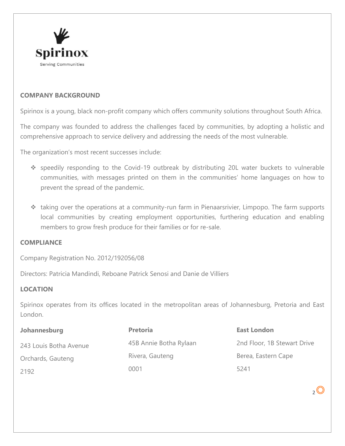

### **COMPANY BACKGROUND**

Spirinox is a young, black non-profit company which offers community solutions throughout South Africa.

The company was founded to address the challenges faced by communities, by adopting a holistic and comprehensive approach to service delivery and addressing the needs of the most vulnerable.

The organization's most recent successes include:

- ❖ speedily responding to the Covid-19 outbreak by distributing 20L water buckets to vulnerable communities, with messages printed on them in the communities' home languages on how to prevent the spread of the pandemic.
- ❖ taking over the operations at a community-run farm in Pienaarsrivier, Limpopo. The farm supports local communities by creating employment opportunities, furthering education and enabling members to grow fresh produce for their families or for re-sale.

#### **COMPLIANCE**

Company Registration No. 2012/192056/08

Directors: Patricia Mandindi, Reboane Patrick Senosi and Danie de Villiers

# **LOCATION**

Spirinox operates from its offices located in the metropolitan areas of Johannesburg, Pretoria and East London.

| Johannesburg           | <b>Pretoria</b>        | <b>East London</b>          |
|------------------------|------------------------|-----------------------------|
| 243 Louis Botha Avenue | 45B Annie Botha Rylaan | 2nd Floor, 1B Stewart Drive |
| Orchards, Gauteng      | Rivera, Gauteng        | Berea, Eastern Cape         |
| 2192                   | 0001                   | 5241                        |

 $2^{\circ}$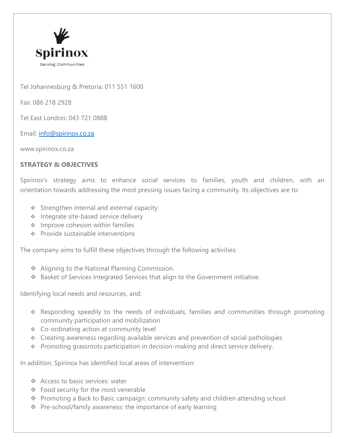

Tel Johannesburg & Pretoria: 011 551 1600

Fax: 086 218 2928

Tel East London: 043 721 0888

Email: [info@spirinox.co.za](mailto:info@spirinox.co.za)

www.spirinox.co.za

## **STRATEGY & OBJECTIVES**

Spirinox's strategy aims to enhance social services to families, youth and children, with an orientation towards addressing the most pressing issues facing a community. Its objectives are to:

- ❖ Strengthen internal and external capacity
- ❖ Integrate site-based service delivery
- ❖ Improve cohesion within families
- ❖ Provide sustainable interventions

The company aims to fulfill these objectives through the following activities:

- ❖ Aligning to the National Planning Commission.
- ❖ Basket of Services Integrated Services that align to the Government initiative.

Identifying local needs and resources, and:

- ❖ Responding speedily to the needs of individuals, families and communities through promoting community participation and mobilization
- ❖ Co-ordinating action at community level
- ❖ Creating awareness regarding available services and prevention of social pathologies
- ❖ Promoting grassroots participation in decision-making and direct service delivery.

In addition, Spirinox has identified local areas of intervention:

- ❖ Access to basic services: water
- ❖ Food security for the most venerable
- ❖ Promoting a Back to Basic campaign: community safety and children attending school
- ❖ Pre-school/family awareness: the importance of early learning